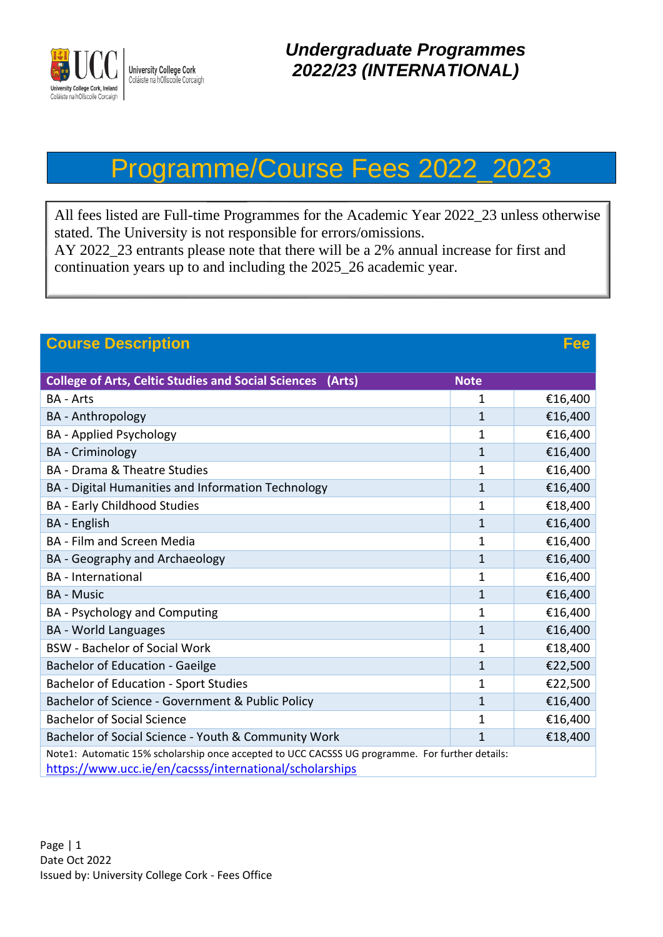

## Programme/Course Fees 2022\_2023

All fees listed are Full-time Programmes for the Academic Year 2022\_23 unless otherwise stated. The University is not responsible for errors/omissions. AY 2022\_23 entrants please note that there will be a 2% annual increase for first and

continuation years up to and including the 2025\_26 academic year.

| <b>Course Description</b><br>Fee                                                                |                |         |
|-------------------------------------------------------------------------------------------------|----------------|---------|
| <b>College of Arts, Celtic Studies and Social Sciences</b><br>(Arts)                            | <b>Note</b>    |         |
| <b>BA - Arts</b>                                                                                | $\mathbf{1}$   | €16,400 |
| <b>BA</b> - Anthropology                                                                        | $\mathbf 1$    | €16,400 |
| <b>BA</b> - Applied Psychology                                                                  | 1              | €16,400 |
| <b>BA</b> - Criminology                                                                         | $\mathbf 1$    | €16,400 |
| <b>BA</b> - Drama & Theatre Studies                                                             | 1              | €16,400 |
| BA - Digital Humanities and Information Technology                                              | $\mathbf 1$    | €16,400 |
| <b>BA - Early Childhood Studies</b>                                                             | 1              | €18,400 |
| BA - English                                                                                    | $\mathbf 1$    | €16,400 |
| <b>BA</b> - Film and Screen Media                                                               | 1              | €16,400 |
| BA - Geography and Archaeology                                                                  | $\mathbf 1$    | €16,400 |
| <b>BA</b> - International                                                                       | 1              | €16,400 |
| <b>BA - Music</b>                                                                               | $\mathbf 1$    | €16,400 |
| <b>BA</b> - Psychology and Computing                                                            | 1              | €16,400 |
| <b>BA</b> - World Languages                                                                     | $\mathbf 1$    | €16,400 |
| <b>BSW</b> - Bachelor of Social Work                                                            | 1              | €18,400 |
| Bachelor of Education - Gaeilge                                                                 | $\mathbf 1$    | €22,500 |
| <b>Bachelor of Education - Sport Studies</b>                                                    | 1              | €22,500 |
| Bachelor of Science - Government & Public Policy                                                | $\mathbf 1$    | €16,400 |
| <b>Bachelor of Social Science</b>                                                               | 1              | €16,400 |
| Bachelor of Social Science - Youth & Community Work                                             | $\overline{1}$ | €18,400 |
| Note1: Automatic 15% scholarship once accepted to UCC CACSSS UG programme. For further details: |                |         |
| https://www.ucc.ie/en/cacsss/international/scholarships                                         |                |         |

Page | 1 Date Oct 2022 Issued by: University College Cork - Fees Office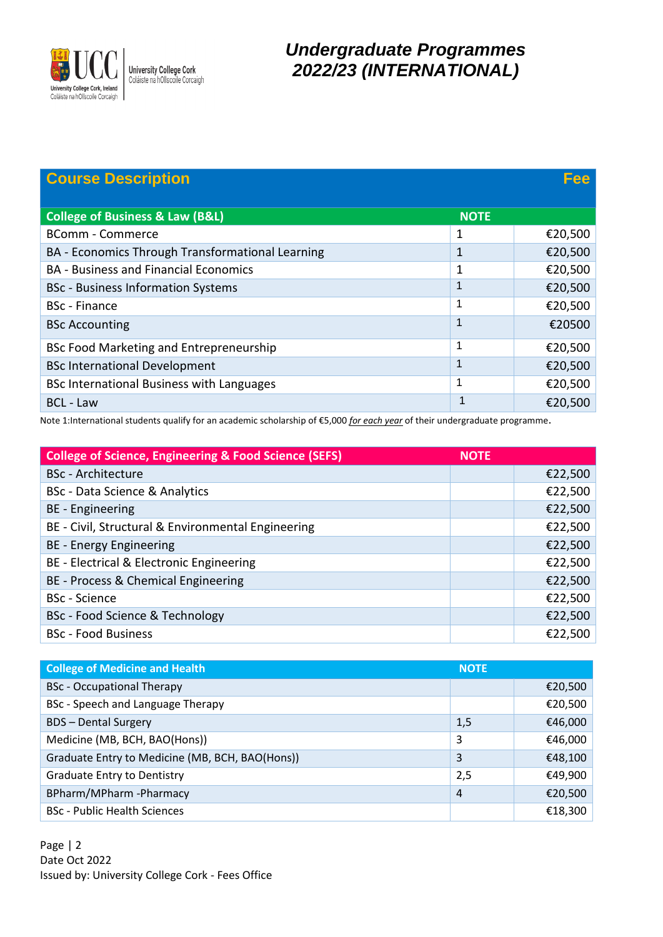

## *Undergraduate Programmes 2022/23 (INTERNATIONAL)*

| <b>Course Description</b>                        |             | Fee     |
|--------------------------------------------------|-------------|---------|
| <b>College of Business &amp; Law (B&amp;L)</b>   | <b>NOTE</b> |         |
| <b>BComm - Commerce</b>                          | 1           | €20,500 |
| BA - Economics Through Transformational Learning | 1           | €20,500 |
| <b>BA - Business and Financial Economics</b>     | 1           | €20,500 |
| <b>BSc</b> - Business Information Systems        |             | €20,500 |
| <b>BSc</b> - Finance                             | 1           | €20,500 |
| <b>BSc Accounting</b>                            | 1           | €20500  |
| BSc Food Marketing and Entrepreneurship          | 1           | €20,500 |
| <b>BSc International Development</b>             |             | €20,500 |
| BSc International Business with Languages        | 1           | €20,500 |
| <b>BCL - Law</b>                                 | 4           | €20,500 |

Note 1:International students qualify for an academic scholarship of €5,000 *for each year* of their undergraduate programme.

| <b>College of Science, Engineering &amp; Food Science (SEFS)</b> | <b>NOTE</b> |         |
|------------------------------------------------------------------|-------------|---------|
| <b>BSc</b> - Architecture                                        |             | €22,500 |
| BSc - Data Science & Analytics                                   |             | €22,500 |
| BE - Engineering                                                 |             | €22,500 |
| BE - Civil, Structural & Environmental Engineering               |             | €22,500 |
| BE - Energy Engineering                                          |             | €22,500 |
| BE - Electrical & Electronic Engineering                         |             | €22,500 |
| BE - Process & Chemical Engineering                              |             | €22,500 |
| <b>BSc</b> - Science                                             |             | €22,500 |
| BSc - Food Science & Technology                                  |             | €22,500 |
| <b>BSc</b> - Food Business                                       |             | €22,500 |

| <b>College of Medicine and Health</b>           | <b>NOTE</b>    |         |
|-------------------------------------------------|----------------|---------|
| <b>BSc</b> - Occupational Therapy               |                | €20,500 |
| BSc - Speech and Language Therapy               |                | €20,500 |
| <b>BDS-Dental Surgery</b>                       | 1,5            | €46,000 |
| Medicine (MB, BCH, BAO(Hons))                   | 3              | €46,000 |
| Graduate Entry to Medicine (MB, BCH, BAO(Hons)) | 3              | €48,100 |
| <b>Graduate Entry to Dentistry</b>              | 2,5            | €49,900 |
| BPharm/MPharm-Pharmacy                          | $\overline{4}$ | €20,500 |
| <b>BSc</b> - Public Health Sciences             |                | €18,300 |

Page | 2 Date Oct 2022 Issued by: University College Cork - Fees Office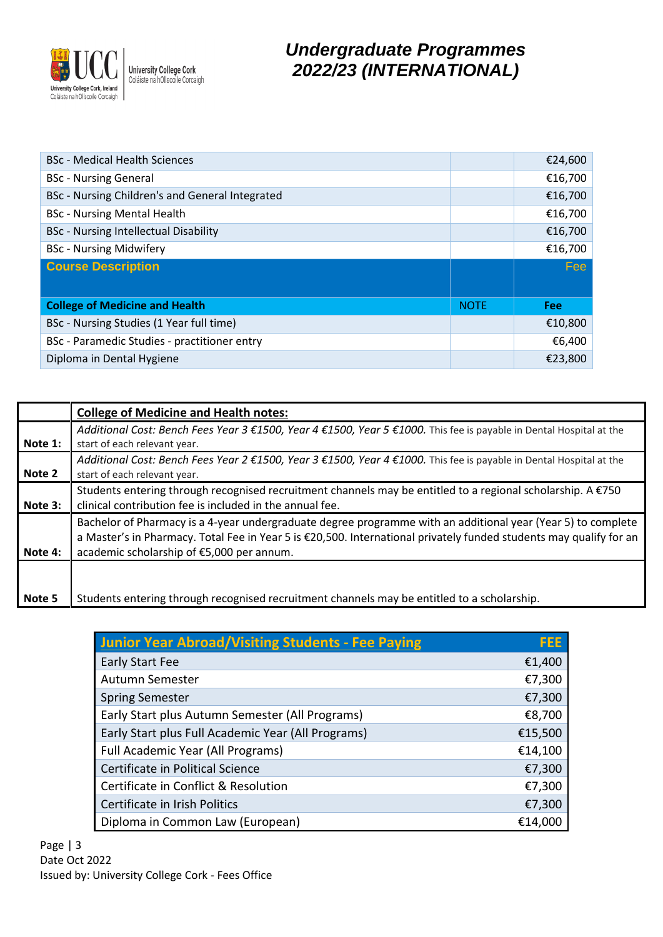

## *Undergraduate Programmes 2022/23 (INTERNATIONAL)*

| <b>BSc</b> - Medical Health Sciences            |             | €24,600    |
|-------------------------------------------------|-------------|------------|
| <b>BSc - Nursing General</b>                    |             | €16,700    |
| BSc - Nursing Children's and General Integrated |             | €16,700    |
| <b>BSc</b> - Nursing Mental Health              |             | €16,700    |
| <b>BSc</b> - Nursing Intellectual Disability    |             | €16,700    |
| <b>BSc</b> - Nursing Midwifery                  |             | €16,700    |
| <b>Course Description</b>                       |             | <b>Fee</b> |
|                                                 |             |            |
|                                                 |             |            |
| <b>College of Medicine and Health</b>           | <b>NOTE</b> | <b>Fee</b> |
| BSc - Nursing Studies (1 Year full time)        |             | €10,800    |
| BSc - Paramedic Studies - practitioner entry    |             | €6,400     |

|         | <b>College of Medicine and Health notes:</b>                                                                                                                                                                                                                                    |
|---------|---------------------------------------------------------------------------------------------------------------------------------------------------------------------------------------------------------------------------------------------------------------------------------|
| Note 1: | Additional Cost: Bench Fees Year 3 €1500, Year 4 €1500, Year 5 €1000. This fee is payable in Dental Hospital at the<br>start of each relevant year.                                                                                                                             |
| Note 2  | Additional Cost: Bench Fees Year 2 €1500, Year 3 €1500, Year 4 €1000. This fee is payable in Dental Hospital at the<br>start of each relevant year.                                                                                                                             |
| Note 3: | Students entering through recognised recruitment channels may be entitled to a regional scholarship. $A \in 750$<br>clinical contribution fee is included in the annual fee.                                                                                                    |
| Note 4: | Bachelor of Pharmacy is a 4-year undergraduate degree programme with an additional year (Year 5) to complete<br>a Master's in Pharmacy. Total Fee in Year 5 is €20,500. International privately funded students may qualify for an<br>academic scholarship of €5,000 per annum. |
| Note 5  | Students entering through recognised recruitment channels may be entitled to a scholarship.                                                                                                                                                                                     |

| Junior Year Abroad/Visiting Students - Fee Paying  | <b>FEE</b> |
|----------------------------------------------------|------------|
| Early Start Fee                                    | €1,400     |
| Autumn Semester                                    | €7,300     |
| <b>Spring Semester</b>                             | €7,300     |
| Early Start plus Autumn Semester (All Programs)    | €8,700     |
| Early Start plus Full Academic Year (All Programs) | €15,500    |
| Full Academic Year (All Programs)                  | €14,100    |
| Certificate in Political Science                   | €7,300     |
| Certificate in Conflict & Resolution               | €7,300     |
| Certificate in Irish Politics                      | €7,300     |
| Diploma in Common Law (European)                   | €14,000    |